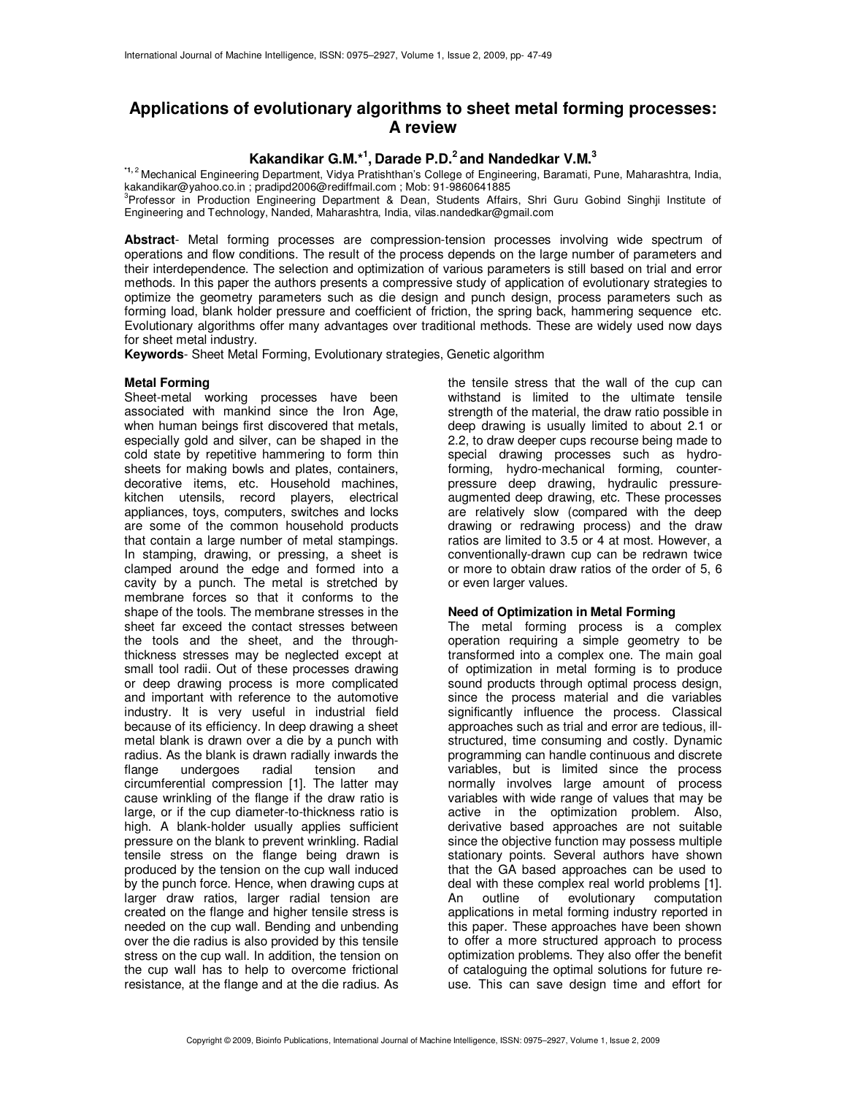# **Applications of evolutionary algorithms to sheet metal forming processes: A review**

# **Kakandikar G.M.\*<sup>1</sup> , Darade P.D.<sup>2</sup>and Nandedkar V.M.<sup>3</sup>**

**\*1,**<sup>2</sup>Mechanical Engineering Department, Vidya Pratishthan's College of Engineering, Baramati, Pune, Maharashtra, India, kakandikar@yahoo.co.in ; pradipd2006@rediffmail.com ; Mob: 91-9860641885

<sup>3</sup>Professor in Production Engineering Department & Dean, Students Affairs, Shri Guru Gobind Singhji Institute of Engineering and Technology, Nanded, Maharashtra, India, vilas.nandedkar@gmail.com

**Abstract**- Metal forming processes are compression-tension processes involving wide spectrum of operations and flow conditions. The result of the process depends on the large number of parameters and their interdependence. The selection and optimization of various parameters is still based on trial and error methods. In this paper the authors presents a compressive study of application of evolutionary strategies to optimize the geometry parameters such as die design and punch design, process parameters such as forming load, blank holder pressure and coefficient of friction, the spring back, hammering sequence etc. Evolutionary algorithms offer many advantages over traditional methods. These are widely used now days for sheet metal industry.

**Keywords**- Sheet Metal Forming, Evolutionary strategies, Genetic algorithm

#### **Metal Forming**

Sheet-metal working processes have been associated with mankind since the Iron Age, when human beings first discovered that metals, especially gold and silver, can be shaped in the cold state by repetitive hammering to form thin sheets for making bowls and plates, containers, decorative items, etc. Household machines, kitchen utensils, record players, electrical appliances, toys, computers, switches and locks are some of the common household products that contain a large number of metal stampings. In stamping, drawing, or pressing, a sheet is clamped around the edge and formed into a cavity by a punch. The metal is stretched by membrane forces so that it conforms to the shape of the tools. The membrane stresses in the sheet far exceed the contact stresses between the tools and the sheet, and the throughthickness stresses may be neglected except at small tool radii. Out of these processes drawing or deep drawing process is more complicated and important with reference to the automotive industry. It is very useful in industrial field because of its efficiency. In deep drawing a sheet metal blank is drawn over a die by a punch with radius. As the blank is drawn radially inwards the flange undergoes radial tension and circumferential compression [1]. The latter may cause wrinkling of the flange if the draw ratio is large, or if the cup diameter-to-thickness ratio is high. A blank-holder usually applies sufficient pressure on the blank to prevent wrinkling. Radial tensile stress on the flange being drawn is produced by the tension on the cup wall induced by the punch force. Hence, when drawing cups at larger draw ratios, larger radial tension are created on the flange and higher tensile stress is needed on the cup wall. Bending and unbending over the die radius is also provided by this tensile stress on the cup wall. In addition, the tension on the cup wall has to help to overcome frictional resistance, at the flange and at the die radius. As

the tensile stress that the wall of the cup can withstand is limited to the ultimate tensile strength of the material, the draw ratio possible in deep drawing is usually limited to about 2.1 or 2.2, to draw deeper cups recourse being made to special drawing processes such as hydroforming, hydro-mechanical forming, counterpressure deep drawing, hydraulic pressureaugmented deep drawing, etc. These processes are relatively slow (compared with the deep drawing or redrawing process) and the draw ratios are limited to 3.5 or 4 at most. However, a conventionally-drawn cup can be redrawn twice or more to obtain draw ratios of the order of 5, 6 or even larger values.

## **Need of Optimization in Metal Forming**

The metal forming process is a complex operation requiring a simple geometry to be transformed into a complex one. The main goal of optimization in metal forming is to produce sound products through optimal process design, since the process material and die variables significantly influence the process. Classical approaches such as trial and error are tedious, illstructured, time consuming and costly. Dynamic programming can handle continuous and discrete variables, but is limited since the process normally involves large amount of process variables with wide range of values that may be active in the optimization problem. Also, derivative based approaches are not suitable since the objective function may possess multiple stationary points. Several authors have shown that the GA based approaches can be used to deal with these complex real world problems [1].<br>An outline of evolutionary computation An outline of evolutionary applications in metal forming industry reported in this paper. These approaches have been shown to offer a more structured approach to process optimization problems. They also offer the benefit of cataloguing the optimal solutions for future reuse. This can save design time and effort for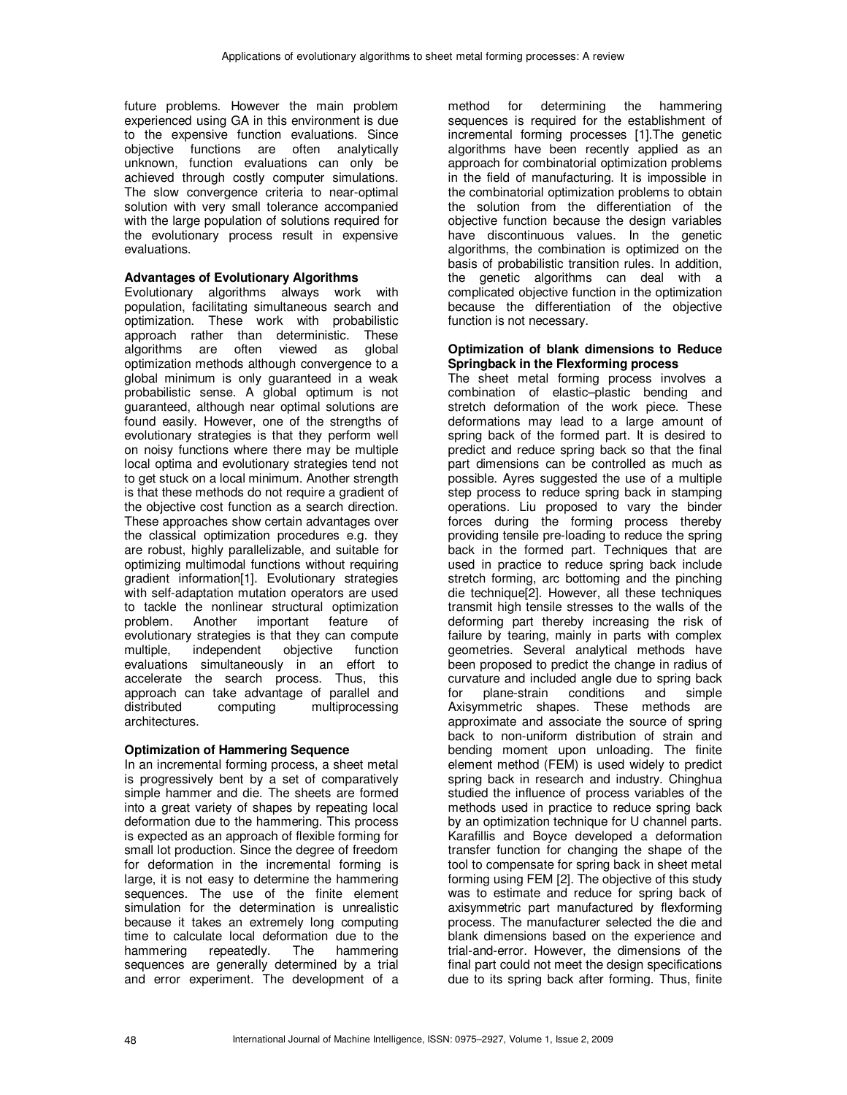future problems. However the main problem experienced using GA in this environment is due to the expensive function evaluations. Since objective functions are often analytically unknown, function evaluations can only be achieved through costly computer simulations. The slow convergence criteria to near-optimal solution with very small tolerance accompanied with the large population of solutions required for the evolutionary process result in expensive evaluations.

## **Advantages of Evolutionary Algorithms**

Evolutionary algorithms always work with population, facilitating simultaneous search and optimization. These work with probabilistic approach rather than deterministic. These algorithms are often viewed as global optimization methods although convergence to a global minimum is only guaranteed in a weak probabilistic sense. A global optimum is not guaranteed, although near optimal solutions are found easily. However, one of the strengths of evolutionary strategies is that they perform well on noisy functions where there may be multiple local optima and evolutionary strategies tend not to get stuck on a local minimum. Another strength is that these methods do not require a gradient of the objective cost function as a search direction. These approaches show certain advantages over the classical optimization procedures e.g. they are robust, highly parallelizable, and suitable for optimizing multimodal functions without requiring gradient information[1]. Evolutionary strategies with self-adaptation mutation operators are used to tackle the nonlinear structural optimization<br>problem. Another important feature of important feature of evolutionary strategies is that they can compute<br>multiple. independent objective function independent evaluations simultaneously in an effort to accelerate the search process. Thus, this approach can take advantage of parallel and<br>distributed computing multiprocessing computing multiprocessing architectures.

# **Optimization of Hammering Sequence**

In an incremental forming process, a sheet metal is progressively bent by a set of comparatively simple hammer and die. The sheets are formed into a great variety of shapes by repeating local deformation due to the hammering. This process is expected as an approach of flexible forming for small lot production. Since the degree of freedom for deformation in the incremental forming is large, it is not easy to determine the hammering sequences. The use of the finite element simulation for the determination is unrealistic because it takes an extremely long computing time to calculate local deformation due to the hammering repeatedly. The hammering sequences are generally determined by a trial and error experiment. The development of a

method for determining the hammering sequences is required for the establishment of incremental forming processes [1].The genetic algorithms have been recently applied as an approach for combinatorial optimization problems in the field of manufacturing. It is impossible in the combinatorial optimization problems to obtain the solution from the differentiation of the objective function because the design variables have discontinuous values. In the genetic algorithms, the combination is optimized on the basis of probabilistic transition rules. In addition, the genetic algorithms can deal with a complicated objective function in the optimization because the differentiation of the objective function is not necessary.

## **Optimization of blank dimensions to Reduce Springback in the Flexforming process**

The sheet metal forming process involves a combination of elastic–plastic bending and stretch deformation of the work piece. These deformations may lead to a large amount of spring back of the formed part. It is desired to predict and reduce spring back so that the final part dimensions can be controlled as much as possible. Ayres suggested the use of a multiple step process to reduce spring back in stamping operations. Liu proposed to vary the binder forces during the forming process thereby providing tensile pre-loading to reduce the spring back in the formed part. Techniques that are used in practice to reduce spring back include stretch forming, arc bottoming and the pinching die technique[2]. However, all these techniques transmit high tensile stresses to the walls of the deforming part thereby increasing the risk of failure by tearing, mainly in parts with complex geometries. Several analytical methods have been proposed to predict the change in radius of curvature and included angle due to spring back for plane-strain conditions and simple Axisymmetric shapes. These methods are approximate and associate the source of spring back to non-uniform distribution of strain and bending moment upon unloading. The finite element method (FEM) is used widely to predict spring back in research and industry. Chinghua studied the influence of process variables of the methods used in practice to reduce spring back by an optimization technique for U channel parts. Karafillis and Boyce developed a deformation transfer function for changing the shape of the tool to compensate for spring back in sheet metal forming using FEM [2]. The objective of this study was to estimate and reduce for spring back of axisymmetric part manufactured by flexforming process. The manufacturer selected the die and blank dimensions based on the experience and trial-and-error. However, the dimensions of the final part could not meet the design specifications due to its spring back after forming. Thus, finite